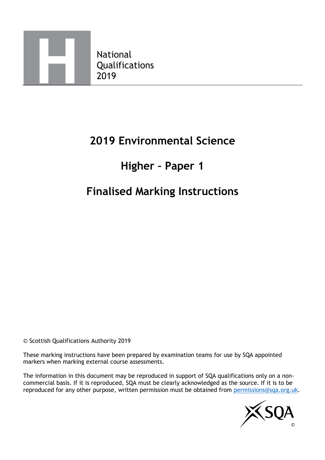

## **2019 Environmental Science**

## **Higher – Paper 1**

# **Finalised Marking Instructions**

© Scottish Qualifications Authority 2019

These marking instructions have been prepared by examination teams for use by SQA appointed markers when marking external course assessments.

The information in this document may be reproduced in support of SQA qualifications only on a noncommercial basis. If it is reproduced, SQA must be clearly acknowledged as the source. If it is to be reproduced for any other purpose, written permission must be obtained from [permissions@sqa.org.uk.](mailto:permissions@sqa.org.uk)

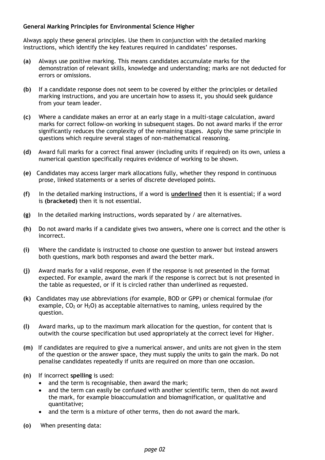#### **General Marking Principles for Environmental Science Higher**

Always apply these general principles. Use them in conjunction with the detailed marking instructions, which identify the key features required in candidates' responses.

- **(a)** Always use positive marking. This means candidates accumulate marks for the demonstration of relevant skills, knowledge and understanding; marks are not deducted for errors or omissions.
- **(b)** If a candidate response does not seem to be covered by either the principles or detailed marking instructions, and you are uncertain how to assess it, you should seek guidance from your team leader.
- **(c)** Where a candidate makes an error at an early stage in a multi-stage calculation, award marks for correct follow-on working in subsequent stages. Do not award marks if the error significantly reduces the complexity of the remaining stages. Apply the same principle in questions which require several stages of non-mathematical reasoning.
- **(d)** Award full marks for a correct final answer (including units if required) on its own, unless a numerical question specifically requires evidence of working to be shown.
- **(e)** Candidates may access larger mark allocations fully, whether they respond in continuous prose, linked statements or a series of discrete developed points.
- **(f)** In the detailed marking instructions, if a word is **underlined** then it is essential; if a word is **(bracketed)** then it is not essential.
- **(g)** In the detailed marking instructions, words separated by / are alternatives.
- **(h)** Do not award marks if a candidate gives two answers, where one is correct and the other is incorrect.
- **(i)** Where the candidate is instructed to choose one question to answer but instead answers both questions, mark both responses and award the better mark.
- **(j)** Award marks for a valid response, even if the response is not presented in the format expected. For example, award the mark if the response is correct but is not presented in the table as requested, or if it is circled rather than underlined as requested.
- **(k)** Candidates may use abbreviations (for example, BOD or GPP) or chemical formulae (for example,  $CO<sub>2</sub>$  or H<sub>2</sub>O) as acceptable alternatives to naming, unless required by the question.
- **(l)** Award marks, up to the maximum mark allocation for the question, for content that is outwith the course specification but used appropriately at the correct level for Higher.
- **(m)** If candidates are required to give a numerical answer, and units are not given in the stem of the question or the answer space, they must supply the units to gain the mark. Do not penalise candidates repeatedly if units are required on more than one occasion.
- **(n)** If incorrect **spelling** is used:
	- and the term is recognisable, then award the mark;
	- and the term can easily be confused with another scientific term, then do not award the mark, for example bioaccumulation and biomagnification, or qualitative and quantitative;
	- and the term is a mixture of other terms, then do not award the mark.
- **(o)** When presenting data: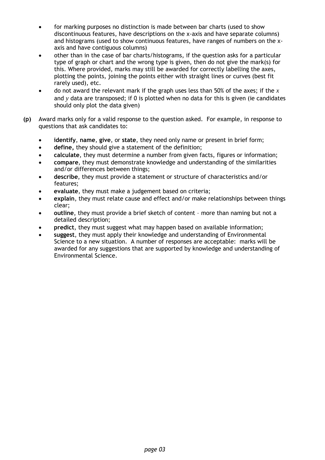- for marking purposes no distinction is made between bar charts (used to show discontinuous features, have descriptions on the x-axis and have separate columns) and histograms (used to show continuous features, have ranges of numbers on the xaxis and have contiguous columns)
- other than in the case of bar charts/histograms, if the question asks for a particular type of graph or chart and the wrong type is given, then do not give the mark(s) for this. Where provided, marks may still be awarded for correctly labelling the axes, plotting the points, joining the points either with straight lines or curves (best fit rarely used), etc.
- do not award the relevant mark if the graph uses less than 50% of the axes; if the *x* and *y* data are transposed; if 0 is plotted when no data for this is given (ie candidates should only plot the data given)
- **(p)** Award marks only for a valid response to the question asked. For example, in response to questions that ask candidates to:
	- **identify**, **name**, **give**, or **state**, they need only name or present in brief form;
	- **define,** they should give a statement of the definition;
	- **calculate**, they must determine a number from given facts, figures or information;
	- **compare**, they must demonstrate knowledge and understanding of the similarities and/or differences between things;
	- **describe**, they must provide a statement or structure of characteristics and/or features;
	- **evaluate**, they must make a judgement based on criteria;
	- **explain**, they must relate cause and effect and/or make relationships between things clear;
	- **outline**, they must provide a brief sketch of content more than naming but not a detailed description;
	- **predict**, they must suggest what may happen based on available information;
	- **suggest**, they must apply their knowledge and understanding of Environmental Science to a new situation. A number of responses are acceptable: marks will be awarded for any suggestions that are supported by knowledge and understanding of Environmental Science.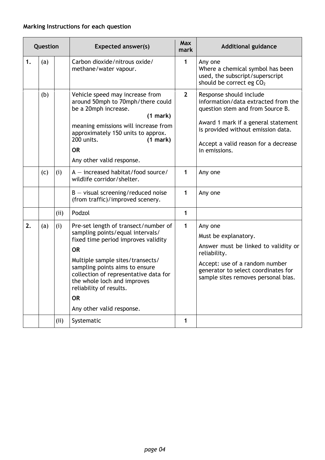#### **Marking Instructions for each question**

|    | Question |      | <b>Expected answer(s)</b>                                                                                                                                                                                                                                                                                                                       | <b>Max</b><br>mark | <b>Additional guidance</b>                                                                                                                                                                                                               |
|----|----------|------|-------------------------------------------------------------------------------------------------------------------------------------------------------------------------------------------------------------------------------------------------------------------------------------------------------------------------------------------------|--------------------|------------------------------------------------------------------------------------------------------------------------------------------------------------------------------------------------------------------------------------------|
| 1. | (a)      |      | Carbon dioxide/nitrous oxide/<br>methane/water vapour.                                                                                                                                                                                                                                                                                          | 1                  | Any one<br>Where a chemical symbol has been<br>used, the subscript/superscript<br>should be correct eg CO <sub>2</sub>                                                                                                                   |
|    | (b)      |      | Vehicle speed may increase from<br>around 50mph to 70mph/there could<br>be a 20mph increase.<br>(1 mark)<br>meaning emissions will increase from<br>approximately 150 units to approx.<br>200 units.<br>(1 mark)<br><b>OR</b><br>Any other valid response.                                                                                      | $\overline{2}$     | Response should include<br>information/data extracted from the<br>question stem and from Source B.<br>Award 1 mark if a general statement<br>is provided without emission data.<br>Accept a valid reason for a decrease<br>in emissions. |
|    | (c)      | (i)  | $A$ – increased habitat/food source/<br>wildlife corridor/shelter.                                                                                                                                                                                                                                                                              | 1                  | Any one                                                                                                                                                                                                                                  |
|    |          |      | $B -$ visual screening/reduced noise<br>(from traffic)/improved scenery.                                                                                                                                                                                                                                                                        | 1                  | Any one                                                                                                                                                                                                                                  |
|    |          | (ii) | Podzol                                                                                                                                                                                                                                                                                                                                          | 1                  |                                                                                                                                                                                                                                          |
| 2. | (a)      | (i)  | Pre-set length of transect/number of<br>sampling points/equal intervals/<br>fixed time period improves validity<br><b>OR</b><br>Multiple sample sites/transects/<br>sampling points aims to ensure<br>collection of representative data for<br>the whole loch and improves<br>reliability of results.<br><b>OR</b><br>Any other valid response. | $\mathbf{1}$       | Any one<br>Must be explanatory.<br>Answer must be linked to validity or<br>reliability.<br>Accept: use of a random number<br>generator to select coordinates for<br>sample sites removes personal bias.                                  |
|    |          | (ii) | Systematic                                                                                                                                                                                                                                                                                                                                      | 1                  |                                                                                                                                                                                                                                          |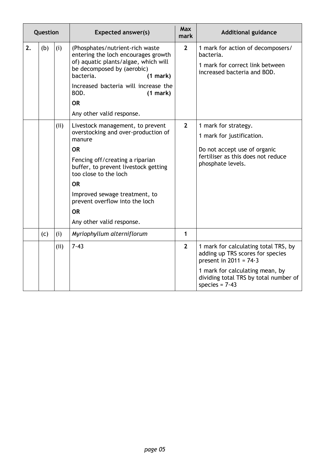|    | Question |             | <b>Expected answer(s)</b>                                                                                                                                                                                                                                                                                                    | Max<br>mark         | <b>Additional guidance</b>                                                                                                                                                                           |
|----|----------|-------------|------------------------------------------------------------------------------------------------------------------------------------------------------------------------------------------------------------------------------------------------------------------------------------------------------------------------------|---------------------|------------------------------------------------------------------------------------------------------------------------------------------------------------------------------------------------------|
| 2. | (b)      | (i)         | (Phosphates/nutrient-rich waste<br>entering the loch encourages growth<br>of) aquatic plants/algae, which will<br>be decomposed by (aerobic)<br>bacteria.<br>(1 mark)<br>Increased bacteria will increase the<br>BOD.<br>(1 mark)<br><b>OR</b><br>Any other valid response.                                                  | $\overline{2}$      | 1 mark for action of decomposers/<br>bacteria.<br>1 mark for correct link between<br>increased bacteria and BOD.                                                                                     |
|    |          | (ii)        | Livestock management, to prevent<br>overstocking and over-production of<br>manure<br><b>OR</b><br>Fencing off/creating a riparian<br>buffer, to prevent livestock getting<br>too close to the loch<br><b>OR</b><br>Improved sewage treatment, to<br>prevent overflow into the loch<br><b>OR</b><br>Any other valid response. | $\overline{2}$      | 1 mark for strategy.<br>1 mark for justification.<br>Do not accept use of organic<br>fertiliser as this does not reduce<br>phosphate levels.                                                         |
|    | (c)      | (i)<br>(ii) | Myriophyllum alterniflorum<br>7.43                                                                                                                                                                                                                                                                                           | 1<br>$\overline{2}$ | 1 mark for calculating total TRS, by<br>adding up TRS scores for species<br>present in $2011 = 74.3$<br>1 mark for calculating mean, by<br>dividing total TRS by total number of<br>species = $7.43$ |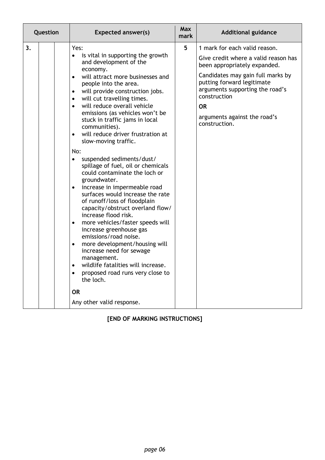| Question<br><b>Expected answer(s)</b>                                                                                                                                                                                                                                                                                                                                                                                                                                                                                                                                                                                                                                                                                                                                                                                                                                                                                                                                                                                                                                                                                                                                         | <b>Max</b><br>mark | <b>Additional guidance</b>                                                                                                                                                                                                                                                                |
|-------------------------------------------------------------------------------------------------------------------------------------------------------------------------------------------------------------------------------------------------------------------------------------------------------------------------------------------------------------------------------------------------------------------------------------------------------------------------------------------------------------------------------------------------------------------------------------------------------------------------------------------------------------------------------------------------------------------------------------------------------------------------------------------------------------------------------------------------------------------------------------------------------------------------------------------------------------------------------------------------------------------------------------------------------------------------------------------------------------------------------------------------------------------------------|--------------------|-------------------------------------------------------------------------------------------------------------------------------------------------------------------------------------------------------------------------------------------------------------------------------------------|
| 3 <sub>1</sub><br>Yes:<br>is vital in supporting the growth<br>$\bullet$<br>and development of the<br>economy.<br>will attract more businesses and<br>$\bullet$<br>people into the area.<br>will provide construction jobs.<br>$\bullet$<br>will cut travelling times.<br>$\bullet$<br>will reduce overall vehicle<br>$\bullet$<br>emissions (as vehicles won't be<br>stuck in traffic jams in local<br>communities).<br>will reduce driver frustration at<br>$\bullet$<br>slow-moving traffic.<br>No:<br>suspended sediments/dust/<br>$\bullet$<br>spillage of fuel, oil or chemicals<br>could contaminate the loch or<br>groundwater.<br>increase in impermeable road<br>$\bullet$<br>surfaces would increase the rate<br>of runoff/loss of floodplain<br>capacity/obstruct overland flow/<br>increase flood risk.<br>more vehicles/faster speeds will<br>$\bullet$<br>increase greenhouse gas<br>emissions/road noise.<br>more development/housing will<br>$\bullet$<br>increase need for sewage<br>management.<br>wildlife fatalities will increase.<br>$\bullet$<br>proposed road runs very close to<br>$\bullet$<br>the loch.<br><b>OR</b><br>Any other valid response. | 5                  | 1 mark for each valid reason.<br>Give credit where a valid reason has<br>been appropriately expanded.<br>Candidates may gain full marks by<br>putting forward legitimate<br>arguments supporting the road's<br>construction<br><b>OR</b><br>arguments against the road's<br>construction. |

**[END OF MARKING INSTRUCTIONS]**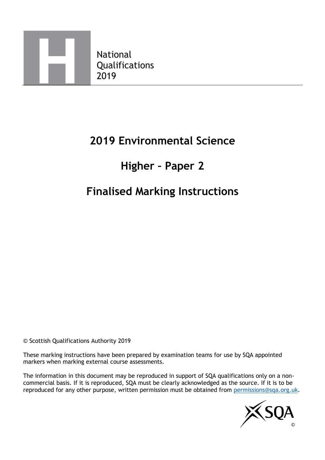

## **2019 Environmental Science**

# **Higher – Paper 2**

## **Finalised Marking Instructions**

© Scottish Qualifications Authority 2019

These marking instructions have been prepared by examination teams for use by SQA appointed markers when marking external course assessments.

The information in this document may be reproduced in support of SQA qualifications only on a noncommercial basis. If it is reproduced, SQA must be clearly acknowledged as the source. If it is to be reproduced for any other purpose, written permission must be obtained from [permissions@sqa.org.uk.](mailto:permissions@sqa.org.uk)

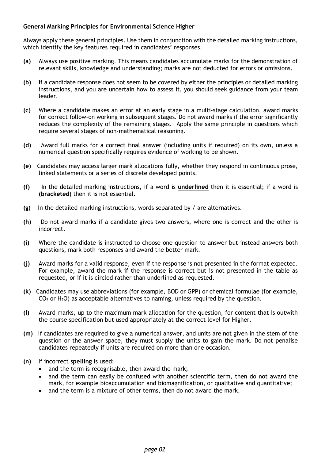#### **General Marking Principles for Environmental Science Higher**

Always apply these general principles. Use them in conjunction with the detailed marking instructions, which identify the key features required in candidates' responses.

- **(a)** Always use positive marking. This means candidates accumulate marks for the demonstration of relevant skills, knowledge and understanding; marks are not deducted for errors or omissions.
- **(b)** If a candidate response does not seem to be covered by either the principles or detailed marking instructions, and you are uncertain how to assess it, you should seek guidance from your team leader.
- **(c)** Where a candidate makes an error at an early stage in a multi-stage calculation, award marks for correct follow-on working in subsequent stages. Do not award marks if the error significantly reduces the complexity of the remaining stages. Apply the same principle in questions which require several stages of non-mathematical reasoning.
- **(d)** Award full marks for a correct final answer (including units if required) on its own, unless a numerical question specifically requires evidence of working to be shown.
- **(e)** Candidates may access larger mark allocations fully, whether they respond in continuous prose, linked statements or a series of discrete developed points.
- **(f)** In the detailed marking instructions, if a word is **underlined** then it is essential; if a word is **(bracketed)** then it is not essential.
- **(g)** In the detailed marking instructions, words separated by / are alternatives.
- **(h)** Do not award marks if a candidate gives two answers, where one is correct and the other is incorrect.
- **(i)** Where the candidate is instructed to choose one question to answer but instead answers both questions, mark both responses and award the better mark.
- **(j)** Award marks for a valid response, even if the response is not presented in the format expected. For example, award the mark if the response is correct but is not presented in the table as requested, or if it is circled rather than underlined as requested.
- **(k)** Candidates may use abbreviations (for example, BOD or GPP) or chemical formulae (for example,  $CO<sub>2</sub>$  or H<sub>2</sub>O) as acceptable alternatives to naming, unless required by the question.
- **(l)** Award marks, up to the maximum mark allocation for the question, for content that is outwith the course specification but used appropriately at the correct level for Higher.
- **(m)** If candidates are required to give a numerical answer, and units are not given in the stem of the question or the answer space, they must supply the units to gain the mark. Do not penalise candidates repeatedly if units are required on more than one occasion.
- **(n)** If incorrect **spelling** is used:
	- and the term is recognisable, then award the mark;
	- and the term can easily be confused with another scientific term, then do not award the mark, for example bioaccumulation and biomagnification, or qualitative and quantitative;
	- and the term is a mixture of other terms, then do not award the mark.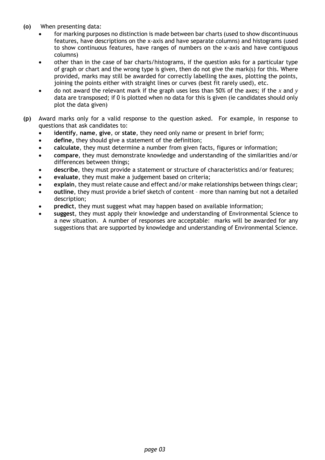- **(o)** When presenting data:
	- for marking purposes no distinction is made between bar charts (used to show discontinuous features, have descriptions on the x-axis and have separate columns) and histograms (used to show continuous features, have ranges of numbers on the x-axis and have contiguous columns)
	- other than in the case of bar charts/histograms, if the question asks for a particular type of graph or chart and the wrong type is given, then do not give the mark(s) for this. Where provided, marks may still be awarded for correctly labelling the axes, plotting the points, joining the points either with straight lines or curves (best fit rarely used), etc.
	- do not award the relevant mark if the graph uses less than 50% of the axes; if the *x* and *y* data are transposed; if 0 is plotted when no data for this is given (ie candidates should only plot the data given)
- **(p)** Award marks only for a valid response to the question asked. For example, in response to questions that ask candidates to:
	- **identify**, **name**, **give**, or **state**, they need only name or present in brief form;
	- **define,** they should give a statement of the definition;
	- **calculate**, they must determine a number from given facts, figures or information;
	- **compare**, they must demonstrate knowledge and understanding of the similarities and/or differences between things;
	- **describe**, they must provide a statement or structure of characteristics and/or features;
	- **evaluate**, they must make a judgement based on criteria;
	- **explain**, they must relate cause and effect and/or make relationships between things clear;
	- **outline**, they must provide a brief sketch of content more than naming but not a detailed description;
	- **predict**, they must suggest what may happen based on available information;
	- **suggest**, they must apply their knowledge and understanding of Environmental Science to a new situation. A number of responses are acceptable: marks will be awarded for any suggestions that are supported by knowledge and understanding of Environmental Science.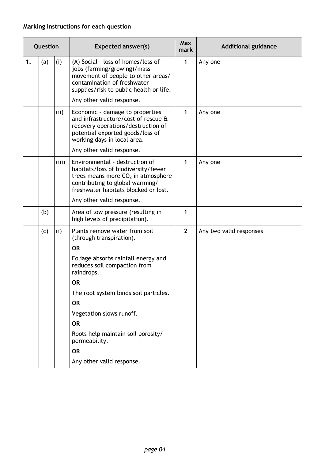#### **Marking Instructions for each question**

|    | Question |       | <b>Expected answer(s)</b>                                                                                                                                                                                                                                                                                                                                                | <b>Max</b><br>mark | <b>Additional guidance</b> |
|----|----------|-------|--------------------------------------------------------------------------------------------------------------------------------------------------------------------------------------------------------------------------------------------------------------------------------------------------------------------------------------------------------------------------|--------------------|----------------------------|
| 1. | (a)      | (i)   | (A) Social - loss of homes/loss of<br>jobs (farming/growing)/mass<br>movement of people to other areas/<br>contamination of freshwater<br>supplies/risk to public health or life.<br>Any other valid response.                                                                                                                                                           | 1                  | Any one                    |
|    |          | (ii)  | Economic - damage to properties<br>and infrastructure/cost of rescue &<br>recovery operations/destruction of<br>potential exported goods/loss of<br>working days in local area.<br>Any other valid response.                                                                                                                                                             | 1                  | Any one                    |
|    |          | (iii) | Environmental - destruction of<br>habitats/loss of biodiversity/fewer<br>trees means more CO <sub>2</sub> in atmosphere<br>contributing to global warming/<br>freshwater habitats blocked or lost.<br>Any other valid response.                                                                                                                                          | 1                  | Any one                    |
|    | (b)      |       | Area of low pressure (resulting in<br>high levels of precipitation).                                                                                                                                                                                                                                                                                                     | 1                  |                            |
|    | (c)      | (i)   | Plants remove water from soil<br>(through transpiration).<br><b>OR</b><br>Foliage absorbs rainfall energy and<br>reduces soil compaction from<br>raindrops.<br><b>OR</b><br>The root system binds soil particles.<br><b>OR</b><br>Vegetation slows runoff.<br><b>OR</b><br>Roots help maintain soil porosity/<br>permeability.<br><b>OR</b><br>Any other valid response. | $\overline{2}$     | Any two valid responses    |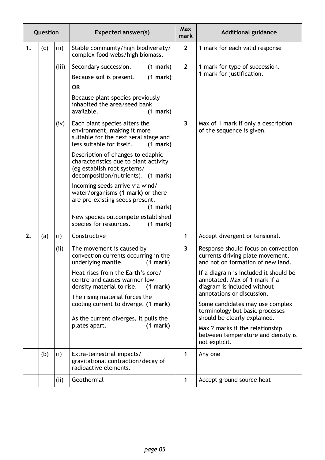| Question |     |       | <b>Expected answer(s)</b>                                                                                                                                                                                                                                                                                                                                                                                                                                                                            | <b>Max</b><br>mark      | <b>Additional guidance</b>                                                                                                                                                                                                                                                                                                                                                                                                                          |
|----------|-----|-------|------------------------------------------------------------------------------------------------------------------------------------------------------------------------------------------------------------------------------------------------------------------------------------------------------------------------------------------------------------------------------------------------------------------------------------------------------------------------------------------------------|-------------------------|-----------------------------------------------------------------------------------------------------------------------------------------------------------------------------------------------------------------------------------------------------------------------------------------------------------------------------------------------------------------------------------------------------------------------------------------------------|
| 1.       | (c) | (ii)  | Stable community/high biodiversity/<br>complex food webs/high biomass.                                                                                                                                                                                                                                                                                                                                                                                                                               | $\overline{2}$          | 1 mark for each valid response                                                                                                                                                                                                                                                                                                                                                                                                                      |
|          |     | (iii) | Secondary succession.<br>(1 mark)<br>(1 mark)<br>Because soil is present.<br><b>OR</b><br>Because plant species previously<br>inhabited the area/seed bank<br>available.<br>(1 mark)                                                                                                                                                                                                                                                                                                                 | $\overline{2}$          | 1 mark for type of succession.<br>1 mark for justification.                                                                                                                                                                                                                                                                                                                                                                                         |
|          |     | (iv)  | Each plant species alters the<br>environment, making it more<br>suitable for the next seral stage and<br>less suitable for itself.<br>(1 mark)<br>Description of changes to edaphic<br>characteristics due to plant activity<br>(eg establish root systems/<br>decomposition/nutrients). (1 mark)<br>Incoming seeds arrive via wind/<br>water/organisms (1 mark) or there<br>are pre-existing seeds present.<br>(1 mark)<br>New species outcompete established<br>species for resources.<br>(1 mark) | $\overline{3}$          | Max of 1 mark if only a description<br>of the sequence is given.                                                                                                                                                                                                                                                                                                                                                                                    |
| 2.       | (a) | (i)   | Constructive                                                                                                                                                                                                                                                                                                                                                                                                                                                                                         | 1                       | Accept divergent or tensional.                                                                                                                                                                                                                                                                                                                                                                                                                      |
|          |     | (ii)  | The movement is caused by<br>convection currents occurring in the<br>underlying mantle.<br>(1 mark)<br>Heat rises from the Earth's core/<br>centre and causes warmer low-<br>density material to rise.<br>(1 mark)<br>The rising material forces the<br>cooling current to diverge. (1 mark)<br>As the current diverges, it pulls the<br>plates apart.<br>(1 mark)                                                                                                                                   | $\overline{\mathbf{3}}$ | Response should focus on convection<br>currents driving plate movement,<br>and not on formation of new land.<br>If a diagram is included it should be<br>annotated. Max of 1 mark if a<br>diagram is included without<br>annotations or discussion.<br>Some candidates may use complex<br>terminology but basic processes<br>should be clearly explained.<br>Max 2 marks if the relationship<br>between temperature and density is<br>not explicit. |
|          | (b) | (i)   | Extra-terrestrial impacts/<br>gravitational contraction/decay of<br>radioactive elements.                                                                                                                                                                                                                                                                                                                                                                                                            | 1                       | Any one                                                                                                                                                                                                                                                                                                                                                                                                                                             |
|          |     | (ii)  | Geothermal                                                                                                                                                                                                                                                                                                                                                                                                                                                                                           | $\mathbf{1}$            | Accept ground source heat                                                                                                                                                                                                                                                                                                                                                                                                                           |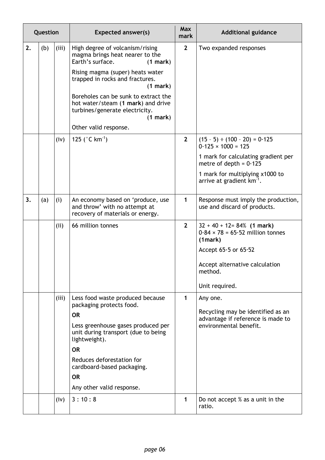|    | Question |       | <b>Expected answer(s)</b>                                                                                                                                                                                                                                                                                                                  | Max<br>mark    | <b>Additional guidance</b>                                                                                                                                                                                     |
|----|----------|-------|--------------------------------------------------------------------------------------------------------------------------------------------------------------------------------------------------------------------------------------------------------------------------------------------------------------------------------------------|----------------|----------------------------------------------------------------------------------------------------------------------------------------------------------------------------------------------------------------|
| 2. | (b)      | (iii) | High degree of volcanism/rising<br>magma brings heat nearer to the<br>Earth's surface.<br>(1 mark)<br>Rising magma (super) heats water<br>trapped in rocks and fractures.<br>(1 mark)<br>Boreholes can be sunk to extract the<br>hot water/steam (1 mark) and drive<br>turbines/generate electricity.<br>(1 mark)<br>Other valid response. | $\overline{2}$ | Two expanded responses                                                                                                                                                                                         |
|    |          | (iv)  | 125 ( $^{\circ}$ C km <sup>-1</sup> )                                                                                                                                                                                                                                                                                                      | $\overline{2}$ | $(15 - 5) \div (100 - 20) = 0.125$<br>$0.125 \times 1000 = 125$<br>1 mark for calculating gradient per<br>metre of depth = $0.125$<br>1 mark for multiplying x1000 to<br>arrive at gradient km <sup>-1</sup> . |
| 3. | (a)      | (i)   | An economy based on 'produce, use<br>and throw' with no attempt at<br>recovery of materials or energy.                                                                                                                                                                                                                                     | 1              | Response must imply the production,<br>use and discard of products.                                                                                                                                            |
|    |          | (ii)  | 66 million tonnes                                                                                                                                                                                                                                                                                                                          | $\overline{2}$ | $32 + 40 + 12 = 84\%$ (1 mark)<br>$0.84 \times 78 = 65.52$ million tonnes<br>(1mark)<br>Accept $65.5$ or $65.52$<br>Accept alternative calculation<br>method.<br>Unit required.                                |
|    |          | (iii) | Less food waste produced because<br>packaging protects food.<br><b>OR</b><br>Less greenhouse gases produced per<br>unit during transport (due to being<br>lightweight).<br><b>OR</b><br>Reduces deforestation for<br>cardboard-based packaging.<br><b>OR</b><br>Any other valid response.                                                  | 1              | Any one.<br>Recycling may be identified as an<br>advantage if reference is made to<br>environmental benefit.                                                                                                   |
|    |          | (iv)  | 3:10:8                                                                                                                                                                                                                                                                                                                                     | 1              | Do not accept % as a unit in the<br>ratio.                                                                                                                                                                     |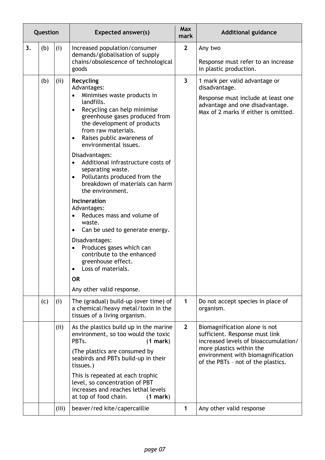|    | Question |       | <b>Expected answer(s)</b>                                                                                                                                                                                                                                                                                                                                                                                                                                                                                                                                                                                                                                                                                                                                                                           | <b>Max</b><br>mark | <b>Additional guidance</b>                                                                                                                                                                                     |
|----|----------|-------|-----------------------------------------------------------------------------------------------------------------------------------------------------------------------------------------------------------------------------------------------------------------------------------------------------------------------------------------------------------------------------------------------------------------------------------------------------------------------------------------------------------------------------------------------------------------------------------------------------------------------------------------------------------------------------------------------------------------------------------------------------------------------------------------------------|--------------------|----------------------------------------------------------------------------------------------------------------------------------------------------------------------------------------------------------------|
| 3. | (b)      | (i)   | Increased population/consumer<br>demands/globalisation of supply<br>chains/obsolescence of technological<br>goods                                                                                                                                                                                                                                                                                                                                                                                                                                                                                                                                                                                                                                                                                   | $\overline{2}$     | Any two<br>Response must refer to an increase<br>in plastic production.                                                                                                                                        |
|    | (b)      | (ii)  | Recycling<br>Advantages:<br>Minimises waste products in<br>$\bullet$<br>landfills.<br>Recycling can help minimise<br>$\bullet$<br>greenhouse gases produced from<br>the development of products<br>from raw materials.<br>Raises public awareness of<br>$\bullet$<br>environmental issues.<br>Disadvantages:<br>Additional infrastructure costs of<br>$\bullet$<br>separating waste.<br>Pollutants produced from the<br>$\bullet$<br>breakdown of materials can harm<br>the environment.<br>Incineration<br>Advantages:<br>Reduces mass and volume of<br>$\bullet$<br>waste.<br>Can be used to generate energy.<br>٠<br>Disadvantages:<br>Produces gases which can<br>$\bullet$<br>contribute to the enhanced<br>greenhouse effect.<br>Loss of materials.<br><b>OR</b><br>Any other valid response. | $\overline{3}$     | 1 mark per valid advantage or<br>disadvantage.<br>Response must include at least one<br>advantage and one disadvantage.<br>Max of 2 marks if either is omitted.                                                |
|    | (c)      | (i)   | The (gradual) build-up (over time) of<br>a chemical/heavy metal/toxin in the<br>tissues of a living organism.                                                                                                                                                                                                                                                                                                                                                                                                                                                                                                                                                                                                                                                                                       | 1                  | Do not accept species in place of<br>organism.                                                                                                                                                                 |
|    |          | (ii)  | As the plastics build up in the marine<br>environment, so too would the toxic<br>PBTs.<br>(1 mark)<br>(The plastics are consumed by<br>seabirds and PBTs build-up in their<br>tissues.)<br>This is repeated at each trophic<br>level, so concentration of PBT<br>increases and reaches lethal levels<br>at top of food chain.<br>(1 mark)                                                                                                                                                                                                                                                                                                                                                                                                                                                           | $\overline{2}$     | Biomagnification alone is not<br>sufficient. Response must link<br>increased levels of bioaccumulation/<br>more plastics within the<br>environment with biomagnification<br>of the PBTs - not of the plastics. |
|    |          | (iii) | beaver/red kite/capercaillie                                                                                                                                                                                                                                                                                                                                                                                                                                                                                                                                                                                                                                                                                                                                                                        | 1                  | Any other valid response                                                                                                                                                                                       |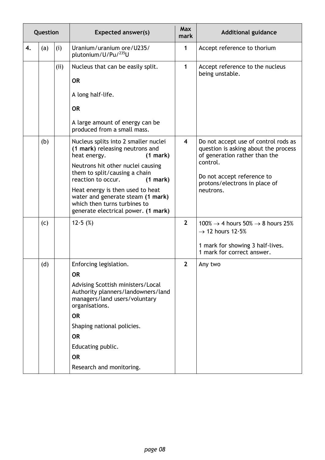|    | Question |      | <b>Expected answer(s)</b>                                                                                                                    | <b>Max</b><br>mark      | <b>Additional guidance</b>                                                                                    |
|----|----------|------|----------------------------------------------------------------------------------------------------------------------------------------------|-------------------------|---------------------------------------------------------------------------------------------------------------|
| 4. | (a)      | (i)  | Uranium/uranium ore/U235/<br>plutonium/U/Pu/235U                                                                                             | $\mathbf{1}$            | Accept reference to thorium                                                                                   |
|    |          | (ii) | Nucleus that can be easily split.                                                                                                            | $\mathbf{1}$            | Accept reference to the nucleus<br>being unstable.                                                            |
|    |          |      | <b>OR</b>                                                                                                                                    |                         |                                                                                                               |
|    |          |      | A long half-life.                                                                                                                            |                         |                                                                                                               |
|    |          |      | <b>OR</b>                                                                                                                                    |                         |                                                                                                               |
|    |          |      | A large amount of energy can be<br>produced from a small mass.                                                                               |                         |                                                                                                               |
|    | (b)      |      | Nucleus splits into 2 smaller nuclei<br>(1 mark) releasing neutrons and<br>heat energy.<br>(1 mark)                                          | $\overline{\mathbf{4}}$ | Do not accept use of control rods as<br>question is asking about the process<br>of generation rather than the |
|    |          |      | Neutrons hit other nuclei causing<br>them to split/causing a chain<br>(1 mark)<br>reaction to occur.                                         |                         | control.<br>Do not accept reference to                                                                        |
|    |          |      | Heat energy is then used to heat<br>water and generate steam (1 mark)<br>which then turns turbines to<br>generate electrical power. (1 mark) |                         | protons/electrons in place of<br>neutrons.                                                                    |
|    | (c)      |      | 12.5(%)                                                                                                                                      | $2^{1}$                 | $100\% \rightarrow 4$ hours 50% $\rightarrow 8$ hours 25%<br>$\rightarrow$ 12 hours 12.5%                     |
|    |          |      |                                                                                                                                              |                         | 1 mark for showing 3 half-lives.<br>1 mark for correct answer.                                                |
|    | (d)      |      | Enforcing legislation.<br><b>OR</b>                                                                                                          | $\mathbf{2}$            | Any two                                                                                                       |
|    |          |      | Advising Scottish ministers/Local<br>Authority planners/landowners/land<br>managers/land users/voluntary<br>organisations.                   |                         |                                                                                                               |
|    |          |      | <b>OR</b>                                                                                                                                    |                         |                                                                                                               |
|    |          |      | Shaping national policies.                                                                                                                   |                         |                                                                                                               |
|    |          |      | <b>OR</b>                                                                                                                                    |                         |                                                                                                               |
|    |          |      | Educating public.                                                                                                                            |                         |                                                                                                               |
|    |          |      | <b>OR</b>                                                                                                                                    |                         |                                                                                                               |
|    |          |      | Research and monitoring.                                                                                                                     |                         |                                                                                                               |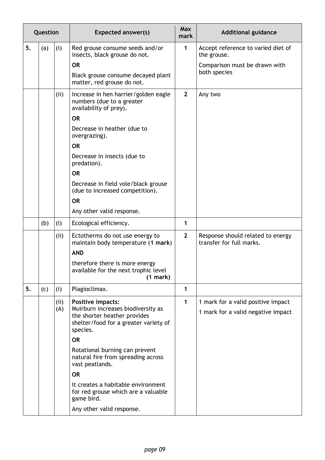|    | Question |      | <b>Expected answer(s)</b>                                                                                               | <b>Max</b><br>mark | <b>Additional guidance</b>                                    |
|----|----------|------|-------------------------------------------------------------------------------------------------------------------------|--------------------|---------------------------------------------------------------|
| 5. | (a)      | (i)  | Red grouse consume seeds and/or<br>insects, black grouse do not.                                                        | 1                  | Accept reference to varied diet of<br>the grouse.             |
|    |          |      | <b>OR</b>                                                                                                               |                    | Comparison must be drawn with                                 |
|    |          |      | Black grouse consume decayed plant<br>matter, red grouse do not.                                                        |                    | both species                                                  |
|    |          | (ii) | Increase in hen harrier/golden eagle<br>numbers (due to a greater<br>availability of prey).                             | $\overline{2}$     | Any two                                                       |
|    |          |      | <b>OR</b>                                                                                                               |                    |                                                               |
|    |          |      | Decrease in heather (due to<br>overgrazing).                                                                            |                    |                                                               |
|    |          |      | <b>OR</b>                                                                                                               |                    |                                                               |
|    |          |      | Decrease in insects (due to<br>predation).                                                                              |                    |                                                               |
|    |          |      | <b>OR</b>                                                                                                               |                    |                                                               |
|    |          |      | Decrease in field vole/black grouse<br>(due to increased competition).                                                  |                    |                                                               |
|    |          |      | <b>OR</b>                                                                                                               |                    |                                                               |
|    |          |      | Any other valid response.                                                                                               |                    |                                                               |
|    | (b)      | (i)  | Ecological efficiency.                                                                                                  | 1                  |                                                               |
|    |          | (ii) | Ectotherms do not use energy to<br>maintain body temperature (1 mark)                                                   | $\overline{2}$     | Response should related to energy<br>transfer for full marks. |
|    |          |      | <b>AND</b>                                                                                                              |                    |                                                               |
|    |          |      | therefore there is more energy<br>available for the next trophic level<br>(1 mark)                                      |                    |                                                               |
| 5. | (c)      | (i)  | Plagioclimax.                                                                                                           | $\mathbf{1}$       |                                                               |
|    |          | (ii) | Positive impacts:                                                                                                       | 1                  | 1 mark for a valid positive impact                            |
|    |          | (A)  | Muirburn increases biodiversity as<br>the shorter heather provides<br>shelter/food for a greater variety of<br>species. |                    | 1 mark for a valid negative impact                            |
|    |          |      | <b>OR</b>                                                                                                               |                    |                                                               |
|    |          |      | Rotational burning can prevent<br>natural fire from spreading across<br>vast peatlands.                                 |                    |                                                               |
|    |          |      | <b>OR</b>                                                                                                               |                    |                                                               |
|    |          |      | It creates a habitable environment<br>for red grouse which are a valuable<br>game bird.                                 |                    |                                                               |
|    |          |      | Any other valid response.                                                                                               |                    |                                                               |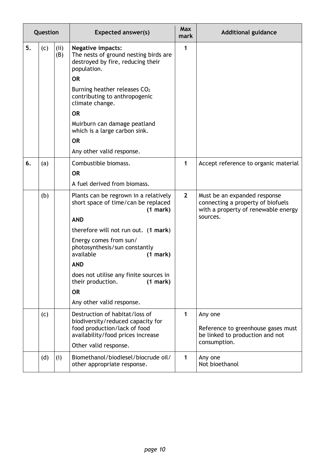|    | Question |             | <b>Expected answer(s)</b>                                                                                                                                                                                                                                                                                                                                             | Max<br>mark    | <b>Additional guidance</b>                                                                                           |
|----|----------|-------------|-----------------------------------------------------------------------------------------------------------------------------------------------------------------------------------------------------------------------------------------------------------------------------------------------------------------------------------------------------------------------|----------------|----------------------------------------------------------------------------------------------------------------------|
| 5. | (c)      | (ii)<br>(B) | <b>Negative impacts:</b><br>The nests of ground nesting birds are<br>destroyed by fire, reducing their<br>population.<br><b>OR</b><br>Burning heather releases CO <sub>2</sub><br>contributing to anthropogenic<br>climate change.<br><b>OR</b><br>Muirburn can damage peatland<br>which is a large carbon sink.<br><b>OR</b><br>Any other valid response.            | 1              |                                                                                                                      |
| 6. | (a)      |             | Combustible biomass.<br><b>OR</b><br>A fuel derived from biomass.                                                                                                                                                                                                                                                                                                     | 1              | Accept reference to organic material                                                                                 |
|    | (b)      |             | Plants can be regrown in a relatively<br>short space of time/can be replaced<br>(1 mark)<br><b>AND</b><br>therefore will not run out. (1 mark)<br>Energy comes from sun/<br>photosynthesis/sun constantly<br>available<br>(1 mark)<br><b>AND</b><br>does not utilise any finite sources in<br>their production.<br>(1 mark)<br><b>OR</b><br>Any other valid response. | $\overline{2}$ | Must be an expanded response<br>connecting a property of biofuels<br>with a property of renewable energy<br>sources. |
|    | (c)      |             | Destruction of habitat/loss of<br>biodiversity/reduced capacity for<br>food production/lack of food<br>availability/food prices increase<br>Other valid response.                                                                                                                                                                                                     | 1              | Any one<br>Reference to greenhouse gases must<br>be linked to production and not<br>consumption.                     |
|    | (d)      | (i)         | Biomethanol/biodiesel/biocrude oil/<br>other appropriate response.                                                                                                                                                                                                                                                                                                    | 1              | Any one<br>Not bioethanol                                                                                            |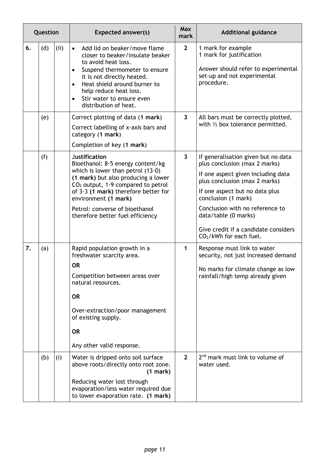|    | Question |      | <b>Expected answer(s)</b>                                                                                                                                                                                                                                                                                               | <b>Max</b><br>mark      | <b>Additional guidance</b>                                                                                                                                                                                                                                                                                                          |
|----|----------|------|-------------------------------------------------------------------------------------------------------------------------------------------------------------------------------------------------------------------------------------------------------------------------------------------------------------------------|-------------------------|-------------------------------------------------------------------------------------------------------------------------------------------------------------------------------------------------------------------------------------------------------------------------------------------------------------------------------------|
| 6. | (d)      | (ii) | Add lid on beaker/move flame<br>$\bullet$<br>closer to beaker/insulate beaker<br>to avoid heat loss.<br>Suspend thermometer to ensure<br>it is not directly heated.<br>Heat shield around burner to<br>$\bullet$<br>help reduce heat loss.<br>Stir water to ensure even<br>$\bullet$<br>distribution of heat.           | $\overline{2}$          | 1 mark for example<br>1 mark for justification<br>Answer should refer to experimental<br>set-up and not experimental<br>procedure.                                                                                                                                                                                                  |
|    | (e)      |      | Correct plotting of data (1 mark)<br>Correct labelling of x-axis bars and<br>category (1 mark)<br>Completion of key (1 mark)                                                                                                                                                                                            | $\overline{\mathbf{3}}$ | All bars must be correctly plotted,<br>with $\frac{1}{2}$ box tolerance permitted.                                                                                                                                                                                                                                                  |
|    | (f)      |      | <b>Justification</b><br>Bioethanol: 8.5 energy content/kg<br>which is lower than petrol $(13.0)$<br>(1 mark) but also producing a lower<br>$CO2$ output, 1.9 compared to petrol<br>of $3.3$ (1 mark) therefore better for<br>environment (1 mark)<br>Petrol: converse of bioethanol<br>therefore better fuel efficiency | $\overline{3}$          | If generalisation given but no data<br>plus conclusion (max 2 marks)<br>If one aspect given including data<br>plus conclusion (max 2 marks)<br>If one aspect but no data plus<br>conclusion (1 mark)<br>Conclusion with no reference to<br>data/table (0 marks)<br>Give credit if a candidate considers<br>$CO2/kWh$ for each fuel. |
| 7. | (a)      |      | Rapid population growth in a<br>freshwater scarcity area.<br><b>OR</b><br>Competition between areas over<br>natural resources.<br><b>OR</b><br>Over-extraction/poor management<br>of existing supply.<br><b>OR</b><br>Any other valid response.                                                                         | 1                       | Response must link to water<br>security, not just increased demand<br>No marks for climate change as low<br>rainfall/high temp already given                                                                                                                                                                                        |
|    | (b)      | (i)  | Water is dripped onto soil surface<br>above roots/directly onto root zone.<br>(1 mark)<br>Reducing water lost through<br>evaporation/less water required due<br>to lower evaporation rate. (1 mark)                                                                                                                     | $\overline{2}$          | 2 <sup>nd</sup> mark must link to volume of<br>water used.                                                                                                                                                                                                                                                                          |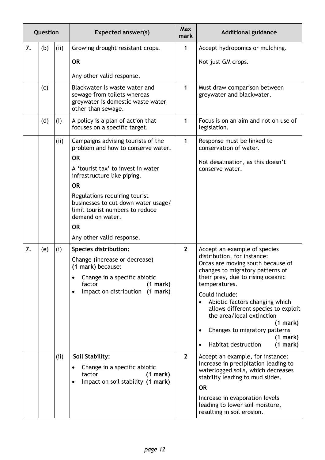|    | Question |      | <b>Expected answer(s)</b>                                                                                                                                                                                                                                                                                                                        | <b>Max</b><br>mark | <b>Additional guidance</b>                                                                                                                                                                                                                                                                                                                                                                                                  |
|----|----------|------|--------------------------------------------------------------------------------------------------------------------------------------------------------------------------------------------------------------------------------------------------------------------------------------------------------------------------------------------------|--------------------|-----------------------------------------------------------------------------------------------------------------------------------------------------------------------------------------------------------------------------------------------------------------------------------------------------------------------------------------------------------------------------------------------------------------------------|
| 7. | (b)      | (ii) | Growing drought resistant crops.<br><b>OR</b><br>Any other valid response.                                                                                                                                                                                                                                                                       | 1                  | Accept hydroponics or mulching.<br>Not just GM crops.                                                                                                                                                                                                                                                                                                                                                                       |
|    | (c)      |      | Blackwater is waste water and<br>sewage from toilets whereas<br>greywater is domestic waste water<br>other than sewage.                                                                                                                                                                                                                          | 1                  | Must draw comparison between<br>greywater and blackwater.                                                                                                                                                                                                                                                                                                                                                                   |
|    | (d)      | (i)  | A policy is a plan of action that<br>focuses on a specific target.                                                                                                                                                                                                                                                                               | 1                  | Focus is on an aim and not on use of<br>legislation.                                                                                                                                                                                                                                                                                                                                                                        |
|    |          | (ii) | Campaigns advising tourists of the<br>problem and how to conserve water.<br><b>OR</b><br>A 'tourist tax' to invest in water<br>infrastructure like piping.<br><b>OR</b><br>Regulations requiring tourist<br>businesses to cut down water usage/<br>limit tourist numbers to reduce<br>demand on water.<br><b>OR</b><br>Any other valid response. | 1                  | Response must be linked to<br>conservation of water.<br>Not desalination, as this doesn't<br>conserve water.                                                                                                                                                                                                                                                                                                                |
| 7. | (e)      | (i)  | <b>Species distribution:</b><br>Change (increase or decrease)<br>(1 mark) because:<br>Change in a specific abiotic<br>$\bullet$<br>factor<br>(1 mark)<br>Impact on distribution (1 mark)<br>$\bullet$                                                                                                                                            | $\overline{2}$     | Accept an example of species<br>distribution, for instance:<br>Orcas are moving south because of<br>changes to migratory patterns of<br>their prey, due to rising oceanic<br>temperatures.<br>Could include:<br>Abiotic factors changing which<br>allows different species to exploit<br>the area/local extinction<br>(1 mark)<br>Changes to migratory patterns<br>$\bullet$<br>(1 mark)<br>Habitat destruction<br>(1 mark) |
|    |          | (ii) | Soil Stability:<br>Change in a specific abiotic<br>$\bullet$<br>factor<br>$(1$ mark $)$<br>Impact on soil stability (1 mark)<br>$\bullet$                                                                                                                                                                                                        | $2^{1}$            | Accept an example, for instance:<br>Increase in precipitation leading to<br>waterlogged soils, which decreases<br>stability leading to mud slides.<br><b>OR</b><br>Increase in evaporation levels<br>leading to lower soil moisture,<br>resulting in soil erosion.                                                                                                                                                          |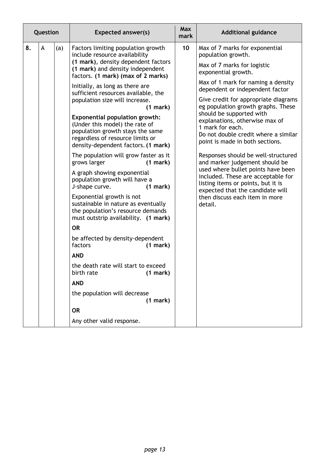| Question |   |     | <b>Expected answer(s)</b>                                                                                                                                                                                                                                                                                                                                                                                                                                                                                                                                                                                                                                                                                                                                                                                                                                                                                                                                                                                                                                                             | <b>Max</b><br>mark | <b>Additional guidance</b>                                                                                                                                                                                                                                                                                                                                                                                                                                                                                                                                                                                                                                                                                 |
|----------|---|-----|---------------------------------------------------------------------------------------------------------------------------------------------------------------------------------------------------------------------------------------------------------------------------------------------------------------------------------------------------------------------------------------------------------------------------------------------------------------------------------------------------------------------------------------------------------------------------------------------------------------------------------------------------------------------------------------------------------------------------------------------------------------------------------------------------------------------------------------------------------------------------------------------------------------------------------------------------------------------------------------------------------------------------------------------------------------------------------------|--------------------|------------------------------------------------------------------------------------------------------------------------------------------------------------------------------------------------------------------------------------------------------------------------------------------------------------------------------------------------------------------------------------------------------------------------------------------------------------------------------------------------------------------------------------------------------------------------------------------------------------------------------------------------------------------------------------------------------------|
| 8.       | A | (a) | Factors limiting population growth<br>include resource availability<br>(1 mark), density dependent factors<br>(1 mark) and density independent<br>factors. (1 mark) (max of 2 marks)<br>Initially, as long as there are<br>sufficient resources available, the<br>population size will increase.<br>(1 mark)<br><b>Exponential population growth:</b><br>(Under this model) the rate of<br>population growth stays the same<br>regardless of resource limits or<br>density-dependent factors. (1 mark)<br>The population will grow faster as it<br>grows larger<br>(1 mark)<br>A graph showing exponential<br>population growth will have a<br>J-shape curve.<br>(1 mark)<br>Exponential growth is not<br>sustainable in nature as eventually<br>the population's resource demands<br>must outstrip availability. (1 mark)<br><b>OR</b><br>be affected by density-dependent<br>factors<br>(1 mark)<br><b>AND</b><br>the death rate will start to exceed<br>birth rate<br>(1 mark)<br><b>AND</b><br>the population will decrease<br>(1 mark)<br><b>OR</b><br>Any other valid response. | 10                 | Max of 7 marks for exponential<br>population growth.<br>Max of 7 marks for logistic<br>exponential growth.<br>Max of 1 mark for naming a density<br>dependent or independent factor<br>Give credit for appropriate diagrams<br>eg population growth graphs. These<br>should be supported with<br>explanations, otherwise max of<br>1 mark for each.<br>Do not double credit where a similar<br>point is made in both sections.<br>Responses should be well-structured<br>and marker judgement should be<br>used where bullet points have been<br>included. These are acceptable for<br>listing items or points, but it is<br>expected that the candidate will<br>then discuss each item in more<br>detail. |
|          |   |     |                                                                                                                                                                                                                                                                                                                                                                                                                                                                                                                                                                                                                                                                                                                                                                                                                                                                                                                                                                                                                                                                                       |                    |                                                                                                                                                                                                                                                                                                                                                                                                                                                                                                                                                                                                                                                                                                            |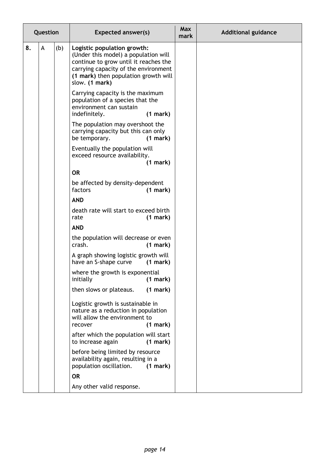|    | Question |     | <b>Expected answer(s)</b>                                                                                                                                                                                      | <b>Max</b><br>mark | <b>Additional guidance</b> |
|----|----------|-----|----------------------------------------------------------------------------------------------------------------------------------------------------------------------------------------------------------------|--------------------|----------------------------|
| 8. | A        | (b) | Logistic population growth:<br>(Under this model) a population will<br>continue to grow until it reaches the<br>carrying capacity of the environment<br>(1 mark) then population growth will<br>slow. (1 mark) |                    |                            |
|    |          |     | Carrying capacity is the maximum<br>population of a species that the<br>environment can sustain<br>indefinitely.<br>(1 mark)                                                                                   |                    |                            |
|    |          |     | The population may overshoot the<br>carrying capacity but this can only<br>be temporary.<br>(1 mark)                                                                                                           |                    |                            |
|    |          |     | Eventually the population will<br>exceed resource availability.<br>(1 mark)                                                                                                                                    |                    |                            |
|    |          |     | <b>OR</b>                                                                                                                                                                                                      |                    |                            |
|    |          |     | be affected by density-dependent<br>factors<br>(1 mark)                                                                                                                                                        |                    |                            |
|    |          |     | <b>AND</b>                                                                                                                                                                                                     |                    |                            |
|    |          |     | death rate will start to exceed birth<br>(1 mark)<br>rate                                                                                                                                                      |                    |                            |
|    |          |     | <b>AND</b>                                                                                                                                                                                                     |                    |                            |
|    |          |     | the population will decrease or even<br>crash.<br>(1 mark)                                                                                                                                                     |                    |                            |
|    |          |     | A graph showing logistic growth will<br>have an S-shape curve<br>(1 mark)                                                                                                                                      |                    |                            |
|    |          |     | where the growth is exponential<br>initially<br>(1 mark)                                                                                                                                                       |                    |                            |
|    |          |     | then slows or plateaus.<br>(1 mark)                                                                                                                                                                            |                    |                            |
|    |          |     | Logistic growth is sustainable in<br>nature as a reduction in population<br>will allow the environment to<br>(1 mark)<br>recover                                                                               |                    |                            |
|    |          |     | after which the population will start<br>to increase again<br>(1 mark)                                                                                                                                         |                    |                            |
|    |          |     | before being limited by resource<br>availability again, resulting in a<br>population oscillation.<br>(1 mark)                                                                                                  |                    |                            |
|    |          |     | <b>OR</b>                                                                                                                                                                                                      |                    |                            |
|    |          |     | Any other valid response.                                                                                                                                                                                      |                    |                            |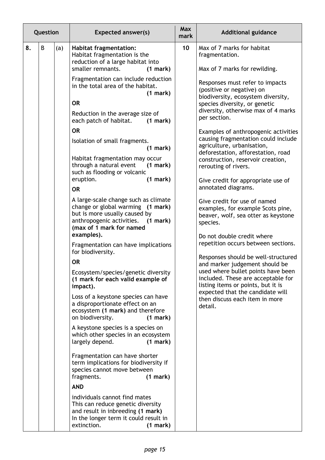|    | Question |     | <b>Expected answer(s)</b>                                                                                                                                                                                                                                                                                                                                                                                                                                                                                                                                                                                                                                                                                                                                                                      | <b>Max</b><br>mark | <b>Additional guidance</b>                                                                                                                                                                                                                                                                                                                                                                                                                                                                                                                                                                                                                                                                                                                                                                                                                                                                          |
|----|----------|-----|------------------------------------------------------------------------------------------------------------------------------------------------------------------------------------------------------------------------------------------------------------------------------------------------------------------------------------------------------------------------------------------------------------------------------------------------------------------------------------------------------------------------------------------------------------------------------------------------------------------------------------------------------------------------------------------------------------------------------------------------------------------------------------------------|--------------------|-----------------------------------------------------------------------------------------------------------------------------------------------------------------------------------------------------------------------------------------------------------------------------------------------------------------------------------------------------------------------------------------------------------------------------------------------------------------------------------------------------------------------------------------------------------------------------------------------------------------------------------------------------------------------------------------------------------------------------------------------------------------------------------------------------------------------------------------------------------------------------------------------------|
| 8. | B        | (a) | <b>Habitat fragmentation:</b><br>Habitat fragmentation is the<br>reduction of a large habitat into<br>smaller remnants.<br>(1 mark)                                                                                                                                                                                                                                                                                                                                                                                                                                                                                                                                                                                                                                                            | 10                 | Max of 7 marks for habitat<br>fragmentation.<br>Max of 7 marks for rewilding.                                                                                                                                                                                                                                                                                                                                                                                                                                                                                                                                                                                                                                                                                                                                                                                                                       |
|    |          |     | Fragmentation can include reduction<br>in the total area of the habitat.<br>(1 mark)<br><b>OR</b><br>Reduction in the average size of<br>each patch of habitat.<br>(1 mark)<br><b>OR</b><br>Isolation of small fragments.<br>(1 mark)<br>Habitat fragmentation may occur<br>through a natural event<br>(1 mark)<br>such as flooding or volcanic<br>eruption.<br>(1 mark)<br><b>OR</b><br>A large-scale change such as climate<br>change or global warming (1 mark)<br>but is more usually caused by<br>anthropogenic activities.<br>(1 mark)<br>(max of 1 mark for named<br>examples).<br>Fragmentation can have implications<br>for biodiversity.<br><b>OR</b><br>Ecosystem/species/genetic diversity<br>(1 mark for each valid example of<br>impact).<br>Loss of a keystone species can have |                    | Responses must refer to impacts<br>(positive or negative) on<br>biodiversity, ecosystem diversity,<br>species diversity, or genetic<br>diversity, otherwise max of 4 marks<br>per section.<br>Examples of anthropogenic activities<br>causing fragmentation could include<br>agriculture, urbanisation,<br>deforestation, afforestation, road<br>construction, reservoir creation,<br>rerouting of rivers.<br>Give credit for appropriate use of<br>annotated diagrams.<br>Give credit for use of named<br>examples, for example Scots pine,<br>beaver, wolf, sea otter as keystone<br>species.<br>Do not double credit where<br>repetition occurs between sections.<br>Responses should be well-structured<br>and marker judgement should be<br>used where bullet points have been<br>included. These are acceptable for<br>listing items or points, but it is<br>expected that the candidate will |
|    |          |     | a disproportionate effect on an<br>ecosystem (1 mark) and therefore<br>on biodiversity.<br>(1 mark)<br>A keystone species is a species on<br>which other species in an ecosystem<br>largely depend.<br>(1 mark)<br>Fragmentation can have shorter<br>term implications for biodiversity if<br>species cannot move between<br>fragments.<br>(1 mark)<br><b>AND</b><br>individuals cannot find mates<br>This can reduce genetic diversity<br>and result in inbreeding (1 mark)<br>In the longer term it could result in<br>extinction.<br>(1 mark)                                                                                                                                                                                                                                               |                    | then discuss each item in more<br>detail.                                                                                                                                                                                                                                                                                                                                                                                                                                                                                                                                                                                                                                                                                                                                                                                                                                                           |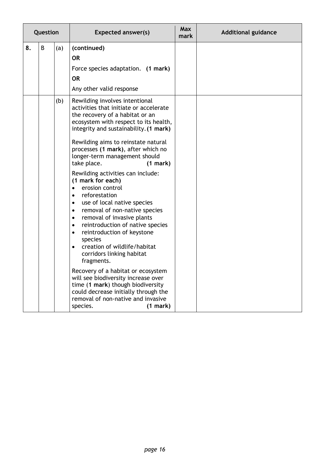| Question |   |     | <b>Expected answer(s)</b>                                                                                                                                                                                                                                                                                                                                                                                                                                                                                                                                                                                                                                                                                                                                                                                                                                                                                                                                                                                                   | <b>Max</b><br>mark | <b>Additional guidance</b> |
|----------|---|-----|-----------------------------------------------------------------------------------------------------------------------------------------------------------------------------------------------------------------------------------------------------------------------------------------------------------------------------------------------------------------------------------------------------------------------------------------------------------------------------------------------------------------------------------------------------------------------------------------------------------------------------------------------------------------------------------------------------------------------------------------------------------------------------------------------------------------------------------------------------------------------------------------------------------------------------------------------------------------------------------------------------------------------------|--------------------|----------------------------|
| 8.       | B | (a) | (continued)<br><b>OR</b><br>Force species adaptation. (1 mark)<br><b>OR</b><br>Any other valid response                                                                                                                                                                                                                                                                                                                                                                                                                                                                                                                                                                                                                                                                                                                                                                                                                                                                                                                     |                    |                            |
|          |   | (b) | Rewilding involves intentional<br>activities that initiate or accelerate<br>the recovery of a habitat or an<br>ecosystem with respect to its health,<br>integrity and sustainability. (1 mark)<br>Rewilding aims to reinstate natural<br>processes (1 mark), after which no<br>longer-term management should<br>take place.<br>(1 mark)<br>Rewilding activities can include:<br>(1 mark for each)<br>erosion control<br>$\bullet$<br>reforestation<br>$\bullet$<br>use of local native species<br>$\bullet$<br>removal of non-native species<br>$\bullet$<br>removal of invasive plants<br>$\bullet$<br>reintroduction of native species<br>$\bullet$<br>reintroduction of keystone<br>$\bullet$<br>species<br>creation of wildlife/habitat<br>$\bullet$<br>corridors linking habitat<br>fragments.<br>Recovery of a habitat or ecosystem<br>will see biodiversity increase over<br>time (1 mark) though biodiversity<br>could decrease initially through the<br>removal of non-native and invasive<br>species.<br>(1 mark) |                    |                            |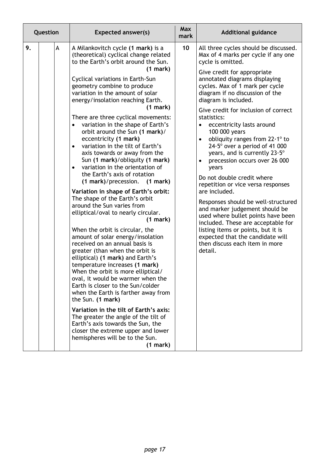| 9.<br>$\mathsf{A}$<br>10<br>A Milankovitch cycle (1 mark) is a<br>All three cycles should be discussed.<br>(theoretical) cyclical change related<br>Max of 4 marks per cycle if any one<br>to the Earth's orbit around the Sun.<br>cycle is omitted.<br>(1 mark)                                                                                                                                                                                                                                                                                                                                                                                                                                                                                                                                                                                                                                                                                                                                                                                                                                                                                                                                                                                                                                                                                                                                                                                                                                                                                                                                                                                                                                                                                                                                                                                                                                                                                                                                                                                                                                                                                            |  |
|-------------------------------------------------------------------------------------------------------------------------------------------------------------------------------------------------------------------------------------------------------------------------------------------------------------------------------------------------------------------------------------------------------------------------------------------------------------------------------------------------------------------------------------------------------------------------------------------------------------------------------------------------------------------------------------------------------------------------------------------------------------------------------------------------------------------------------------------------------------------------------------------------------------------------------------------------------------------------------------------------------------------------------------------------------------------------------------------------------------------------------------------------------------------------------------------------------------------------------------------------------------------------------------------------------------------------------------------------------------------------------------------------------------------------------------------------------------------------------------------------------------------------------------------------------------------------------------------------------------------------------------------------------------------------------------------------------------------------------------------------------------------------------------------------------------------------------------------------------------------------------------------------------------------------------------------------------------------------------------------------------------------------------------------------------------------------------------------------------------------------------------------------------------|--|
| Give credit for appropriate<br>annotated diagrams displaying<br>Cyclical variations in Earth-Sun<br>cycles. Max of 1 mark per cycle<br>geometry combine to produce<br>variation in the amount of solar<br>diagram if no discussion of the<br>energy/insolation reaching Earth.<br>diagram is included.<br>(1 mark)<br>Give credit for inclusion of correct<br>There are three cyclical movements:<br>statistics:<br>variation in the shape of Earth's<br>eccentricity lasts around<br>$\bullet$<br>$\bullet$<br>orbit around the Sun (1 mark)/<br>100 000 years<br>eccentricity (1 mark)<br>obliquity ranges from $22.1^\circ$ to<br>$\bullet$<br>variation in the tilt of Earth's<br>$24.5^\circ$ over a period of 41 000<br>$\bullet$<br>years, and is currently 23.5°<br>axis towards or away from the<br>Sun (1 mark)/obliquity (1 mark)<br>precession occurs over 26 000<br>$\bullet$<br>variation in the orientation of<br>$\bullet$<br>years<br>the Earth's axis of rotation<br>Do not double credit where<br>(1 mark)/precession. (1 mark)<br>repetition or vice versa responses<br>are included.<br>Variation in shape of Earth's orbit:<br>The shape of the Earth's orbit<br>Responses should be well-structured<br>around the Sun varies from<br>and marker judgement should be<br>elliptical/oval to nearly circular.<br>used where bullet points have been<br>(1 mark)<br>included. These are acceptable for<br>listing items or points, but it is<br>When the orbit is circular, the<br>amount of solar energy/insolation<br>expected that the candidate will<br>received on an annual basis is<br>then discuss each item in more<br>detail.<br>greater (than when the orbit is<br>elliptical) (1 mark) and Earth's<br>temperature increases (1 mark)<br>When the orbit is more elliptical/<br>oval, it would be warmer when the<br>Earth is closer to the Sun/colder<br>when the Earth is farther away from<br>the Sun. (1 mark)<br>Variation in the tilt of Earth's axis:<br>The greater the angle of the tilt of<br>Earth's axis towards the Sun, the<br>closer the extreme upper and lower<br>hemispheres will be to the Sun.<br>(1 mark) |  |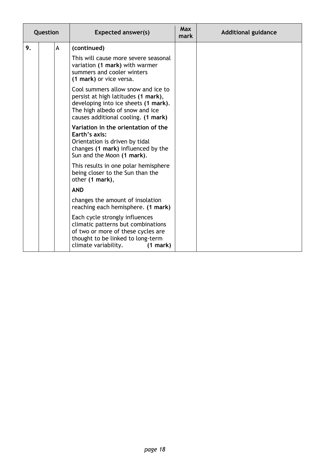| Question |  |   | <b>Expected answer(s)</b>                                                                                                                                                                   | <b>Max</b><br>mark | <b>Additional guidance</b> |
|----------|--|---|---------------------------------------------------------------------------------------------------------------------------------------------------------------------------------------------|--------------------|----------------------------|
| 9.       |  | A | (continued)                                                                                                                                                                                 |                    |                            |
|          |  |   | This will cause more severe seasonal<br>variation (1 mark) with warmer<br>summers and cooler winters<br>(1 mark) or vice versa.                                                             |                    |                            |
|          |  |   | Cool summers allow snow and ice to<br>persist at high latitudes (1 mark),<br>developing into ice sheets (1 mark).<br>The high albedo of snow and ice<br>causes additional cooling. (1 mark) |                    |                            |
|          |  |   | Variation in the orientation of the<br>Earth's axis:<br>Orientation is driven by tidal<br>changes (1 mark) influenced by the<br>Sun and the Moon (1 mark).                                  |                    |                            |
|          |  |   | This results in one polar hemisphere<br>being closer to the Sun than the<br>other (1 mark),                                                                                                 |                    |                            |
|          |  |   | <b>AND</b>                                                                                                                                                                                  |                    |                            |
|          |  |   | changes the amount of insolation<br>reaching each hemisphere. (1 mark)                                                                                                                      |                    |                            |
|          |  |   | Each cycle strongly influences<br>climatic patterns but combinations<br>of two or more of these cycles are<br>thought to be linked to long-term<br>climate variability.<br>(1 mark)         |                    |                            |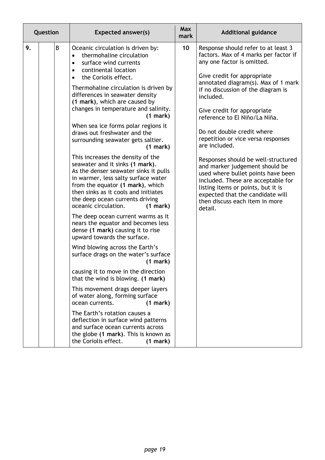| Question |  |   | <b>Expected answer(s)</b>                                                                                                                                                                                                                                                                               | <b>Max</b><br>mark | <b>Additional guidance</b>                                                                                                                                                                                                                                               |
|----------|--|---|---------------------------------------------------------------------------------------------------------------------------------------------------------------------------------------------------------------------------------------------------------------------------------------------------------|--------------------|--------------------------------------------------------------------------------------------------------------------------------------------------------------------------------------------------------------------------------------------------------------------------|
| 9.       |  | B | Oceanic circulation is driven by:<br>thermohaline circulation<br>$\bullet$<br>surface wind currents<br>$\bullet$<br>continental location<br>$\bullet$<br>the Coriolis effect.<br>$\bullet$                                                                                                              | 10                 | Response should refer to at least 3<br>factors. Max of 4 marks per factor if<br>any one factor is omitted.<br>Give credit for appropriate                                                                                                                                |
|          |  |   | Thermohaline circulation is driven by<br>differences in seawater density<br>(1 mark), which are caused by                                                                                                                                                                                               |                    | annotated diagram(s). Max of 1 mark<br>if no discussion of the diagram is<br>included.                                                                                                                                                                                   |
|          |  |   | changes in temperature and salinity.<br>(1 mark)                                                                                                                                                                                                                                                        |                    | Give credit for appropriate<br>reference to El Niño/La Niña.                                                                                                                                                                                                             |
|          |  |   | When sea ice forms polar regions it<br>draws out freshwater and the<br>surrounding seawater gets saltier.<br>(1 mark)                                                                                                                                                                                   |                    | Do not double credit where<br>repetition or vice versa responses<br>are included.                                                                                                                                                                                        |
|          |  |   | This increases the density of the<br>seawater and it sinks (1 mark).<br>As the denser seawater sinks it pulls<br>in warmer, less salty surface water<br>from the equator (1 mark), which<br>then sinks as it cools and initiates<br>the deep ocean currents driving<br>oceanic circulation.<br>(1 mark) |                    | Responses should be well-structured<br>and marker judgement should be<br>used where bullet points have been<br>included. These are acceptable for<br>listing items or points, but it is<br>expected that the candidate will<br>then discuss each item in more<br>detail. |
|          |  |   | The deep ocean current warms as it<br>nears the equator and becomes less<br>dense (1 mark) causing it to rise<br>upward towards the surface.                                                                                                                                                            |                    |                                                                                                                                                                                                                                                                          |
|          |  |   | Wind blowing across the Earth's<br>surface drags on the water's surface<br>(1 mark)                                                                                                                                                                                                                     |                    |                                                                                                                                                                                                                                                                          |
|          |  |   | causing it to move in the direction<br>that the wind is blowing. (1 mark)                                                                                                                                                                                                                               |                    |                                                                                                                                                                                                                                                                          |
|          |  |   | This movement drags deeper layers<br>of water along, forming surface<br>ocean currents.<br>(1 mark)                                                                                                                                                                                                     |                    |                                                                                                                                                                                                                                                                          |
|          |  |   | The Earth's rotation causes a<br>deflection in surface wind patterns<br>and surface ocean currents across<br>the globe (1 mark). This is known as<br>the Coriolis effect.<br>(1 mark)                                                                                                                   |                    |                                                                                                                                                                                                                                                                          |